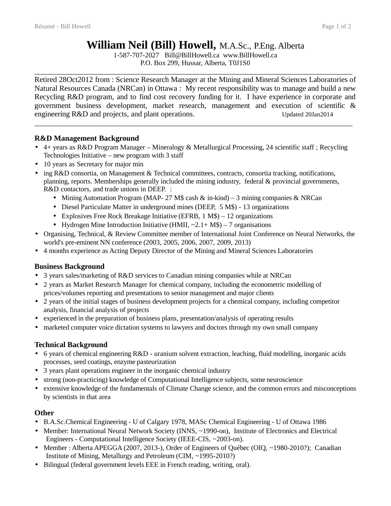# **William Neil (Bill) Howell,** M.A.Sc., P.Eng. Alberta

1-587-707-2027 Bill@BillHowell.ca www.BillHowell.ca P.O. Box 299, Hussar, Alberta, T0J1S0

\_\_\_\_\_\_\_\_\_\_\_\_\_\_\_\_\_\_\_\_\_\_\_\_\_\_\_\_\_\_\_\_\_\_\_\_\_\_\_\_\_\_\_\_\_\_\_\_\_\_\_\_\_\_\_\_\_\_\_\_\_\_\_\_\_\_\_\_\_\_\_\_\_\_\_\_\_\_\_\_\_\_\_

Retired 28Oct2012 from : Science Research Manager at the Mining and Mineral Sciences Laboratories of Natural Resources Canada (NRCan) in Ottawa : My recent responsibility was to manage and build a new Recycling R&D program, and to find cost recovery funding for it. I have experience in corporate and government business development, market research, management and execution of scientific & engineering R&D and projects, and plant operations. The updated 20Jan2014

#### **R&D Management Background**

• 4+ years as R&D Program Manager – Mineralogy & Metallurgical Processing, 24 scientific staff ; Recycling Technologies Initiative – new program with 3 staff

 $\_$  , and the set of the set of the set of the set of the set of the set of the set of the set of the set of the set of the set of the set of the set of the set of the set of the set of the set of the set of the set of th

- 10 years as Secretary for major min
- ing R&D consortia, on Management & Technical committees, contracts, consortia tracking, notifications, planning, reports. Memberships generally included the mining industry, federal & provincial governments, R&D contactors, and trade unions in DEEP. :
	- Mining Automation Program (MAP- 27 M\$ cash & in-kind) 3 mining companies & NRCan
	- Diesel Particulate Matter in underground mines (DEEP, 5 M\$) 13 organizations
	- Explosives Free Rock Breakage Initiative (EFRB, 1 M\$) 12 organizations
	- Hydrogen Mine Introduction Initiative (HMII,  $\sim$ 2.1+ M\$) 7 organisations
- Organising, Technical, & Review Committee member of International Joint Conference on Neural Networks, the world's pre-eminent NN conference (2003, 2005, 2006, 2007, 2009, 2013)
- 4 months experience as Acting Deputy Director of the Mining and Mineral Sciences Laboratories

### **Business Background**

- 3 years sales/marketing of R&D services to Canadian mining companies while at NRCan
- 2 years as Market Research Manager for chemical company, including the econometric modelling of prices/volumes reporting and presentations to senior management and major clients
- 2 years of the initial stages of business development projects for a chemical company, including competitor analysis, financial analysis of projects
- experienced in the preparation of business plans, presentation/analysis of operating results
- marketed computer voice dictation systems to lawyers and doctors through my own small company

### **Technical Background**

- 6 years of chemical engineering R&D uranium solvent extraction, leaching, fluid modelling, inorganic acids processes, seed coatings, enzyme pasteurization
- 3 years plant operations engineer in the inorganic chemical industry
- strong (non-practicing) knowledge of Computational Intelligence subjects, some neuroscience
- extensive knowledge of the fundamentals of Climate Change science, and the common errors and misconceptions by scientists in that area

#### **Other**

- B.A.Sc.Chemical Engineering U of Calgary 1978, MASc Chemical Engineering U of Ottawa 1986
- Member: International Neural Network Society (INNS, ~1990-on), Institute of Electronics and Electrical Engineers - Computational Intelligence Society (IEEE-CIS, ~2003-on).
- Member : Alberta APEGGA (2007, 2013-), Order of Engineers of Québec (OIQ, ~1980-2010?); Canadian Institute of Mining, Metallurgy and Petroleum (CIM, ~1995-2010?)
- Bilingual (federal government levels EEE in French reading, writing, oral).